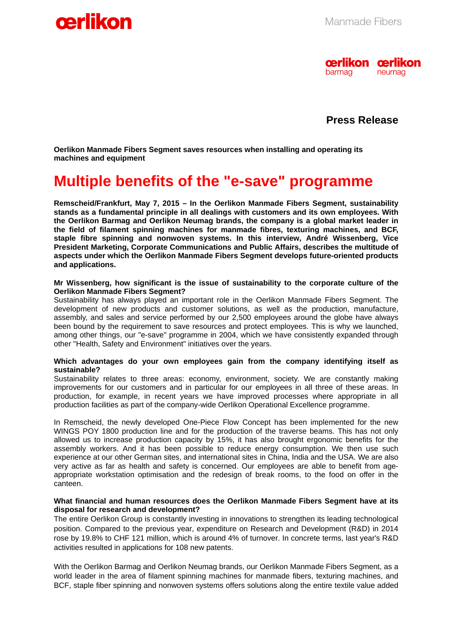

 **Press Release** 

**Oerlikon Manmade Fibers Segment saves resources when installing and operating its machines and equipment** 

# **Multiple benefits of the "e-save" programme**

**Remscheid/Frankfurt, May 7, 2015 – In the Oerlikon Manmade Fibers Segment, sustainability stands as a fundamental principle in all dealings with customers and its own employees. With the Oerlikon Barmag and Oerlikon Neumag brands, the company is a global market leader in the field of filament spinning machines for manmade fibres, texturing machines, and BCF, staple fibre spinning and nonwoven systems. In this interview, André Wissenberg, Vice President Marketing, Corporate Communications and Public Affairs, describes the multitude of aspects under which the Oerlikon Manmade Fibers Segment develops future-oriented products and applications.**

#### **Mr Wissenberg, how significant is the issue of sustainability to the corporate culture of the Oerlikon Manmade Fibers Segment?**

Sustainability has always played an important role in the Oerlikon Manmade Fibers Segment. The development of new products and customer solutions, as well as the production, manufacture, assembly, and sales and service performed by our 2,500 employees around the globe have always been bound by the requirement to save resources and protect employees. This is why we launched, among other things, our "e-save" programme in 2004, which we have consistently expanded through other "Health, Safety and Environment" initiatives over the years.

#### **Which advantages do your own employees gain from the company identifying itself as sustainable?**

Sustainability relates to three areas: economy, environment, society. We are constantly making improvements for our customers and in particular for our employees in all three of these areas. In production, for example, in recent years we have improved processes where appropriate in all production facilities as part of the company-wide Oerlikon Operational Excellence programme.

In Remscheid, the newly developed One-Piece Flow Concept has been implemented for the new WINGS POY 1800 production line and for the production of the traverse beams. This has not only allowed us to increase production capacity by 15%, it has also brought ergonomic benefits for the assembly workers. And it has been possible to reduce energy consumption. We then use such experience at our other German sites, and international sites in China, India and the USA. We are also very active as far as health and safety is concerned. Our employees are able to benefit from ageappropriate workstation optimisation and the redesign of break rooms, to the food on offer in the canteen.

#### **What financial and human resources does the Oerlikon Manmade Fibers Segment have at its disposal for research and development?**

The entire Oerlikon Group is constantly investing in innovations to strengthen its leading technological position. Compared to the previous year, expenditure on Research and Development (R&D) in 2014 rose by 19.8% to CHF 121 million, which is around 4% of turnover. In concrete terms, last year's R&D activities resulted in applications for 108 new patents.

With the Oerlikon Barmag and Oerlikon Neumag brands, our Oerlikon Manmade Fibers Segment, as a world leader in the area of filament spinning machines for manmade fibers, texturing machines, and BCF, staple fiber spinning and nonwoven systems offers solutions along the entire textile value added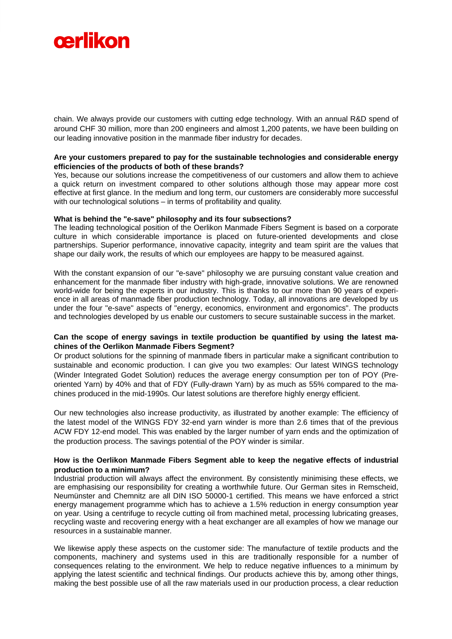

chain. We always provide our customers with cutting edge technology. With an annual R&D spend of around CHF 30 million, more than 200 engineers and almost 1,200 patents, we have been building on our leading innovative position in the manmade fiber industry for decades.

#### **Are your customers prepared to pay for the sustainable technologies and considerable energy efficiencies of the products of both of these brands?**

Yes, because our solutions increase the competitiveness of our customers and allow them to achieve a quick return on investment compared to other solutions although those may appear more cost effective at first glance. In the medium and long term, our customers are considerably more successful with our technological solutions – in terms of profitability and quality.

#### **What is behind the "e-save" philosophy and its four subsections?**

The leading technological position of the Oerlikon Manmade Fibers Segment is based on a corporate culture in which considerable importance is placed on future-oriented developments and close partnerships. Superior performance, innovative capacity, integrity and team spirit are the values that shape our daily work, the results of which our employees are happy to be measured against.

With the constant expansion of our "e-save" philosophy we are pursuing constant value creation and enhancement for the manmade fiber industry with high-grade, innovative solutions. We are renowned world-wide for being the experts in our industry. This is thanks to our more than 90 years of experience in all areas of manmade fiber production technology. Today, all innovations are developed by us under the four "e-save" aspects of "energy, economics, environment and ergonomics". The products and technologies developed by us enable our customers to secure sustainable success in the market.

# **Can the scope of energy savings in textile production be quantified by using the latest machines of the Oerlikon Manmade Fibers Segment?**

Or product solutions for the spinning of manmade fibers in particular make a significant contribution to sustainable and economic production. I can give you two examples: Our latest WINGS technology (Winder Integrated Godet Solution) reduces the average energy consumption per ton of POY (Preoriented Yarn) by 40% and that of FDY (Fully-drawn Yarn) by as much as 55% compared to the machines produced in the mid-1990s. Our latest solutions are therefore highly energy efficient.

Our new technologies also increase productivity, as illustrated by another example: The efficiency of the latest model of the WINGS FDY 32-end yarn winder is more than 2.6 times that of the previous ACW FDY 12-end model. This was enabled by the larger number of yarn ends and the optimization of the production process. The savings potential of the POY winder is similar.

# **How is the Oerlikon Manmade Fibers Segment able to keep the negative effects of industrial production to a minimum?**

Industrial production will always affect the environment. By consistently minimising these effects, we are emphasising our responsibility for creating a worthwhile future. Our German sites in Remscheid, Neumünster and Chemnitz are all DIN ISO 50000-1 certified. This means we have enforced a strict energy management programme which has to achieve a 1.5% reduction in energy consumption year on year. Using a centrifuge to recycle cutting oil from machined metal, processing lubricating greases, recycling waste and recovering energy with a heat exchanger are all examples of how we manage our resources in a sustainable manner.

We likewise apply these aspects on the customer side: The manufacture of textile products and the components, machinery and systems used in this are traditionally responsible for a number of consequences relating to the environment. We help to reduce negative influences to a minimum by applying the latest scientific and technical findings. Our products achieve this by, among other things, making the best possible use of all the raw materials used in our production process, a clear reduction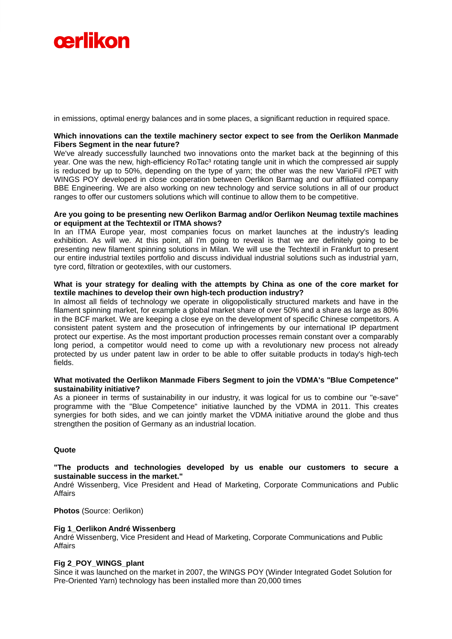

in emissions, optimal energy balances and in some places, a significant reduction in required space.

#### **Which innovations can the textile machinery sector expect to see from the Oerlikon Manmade Fibers Segment in the near future?**

We've already successfully launched two innovations onto the market back at the beginning of this year. One was the new, high-efficiency RoTac<sup>3</sup> rotating tangle unit in which the compressed air supply is reduced by up to 50%, depending on the type of yarn; the other was the new VarioFil rPET with WINGS POY developed in close cooperation between Oerlikon Barmag and our affiliated company BBE Engineering. We are also working on new technology and service solutions in all of our product ranges to offer our customers solutions which will continue to allow them to be competitive.

#### **Are you going to be presenting new Oerlikon Barmag and/or Oerlikon Neumag textile machines or equipment at the Techtextil or ITMA shows?**

In an ITMA Europe year, most companies focus on market launches at the industry's leading exhibition. As will we. At this point, all I'm going to reveal is that we are definitely going to be presenting new filament spinning solutions in Milan. We will use the Techtextil in Frankfurt to present our entire industrial textiles portfolio and discuss individual industrial solutions such as industrial yarn, tyre cord, filtration or geotextiles, with our customers.

#### **What is your strategy for dealing with the attempts by China as one of the core market for textile machines to develop their own high-tech production industry?**

In almost all fields of technology we operate in oligopolistically structured markets and have in the filament spinning market, for example a global market share of over 50% and a share as large as 80% in the BCF market. We are keeping a close eye on the development of specific Chinese competitors. A consistent patent system and the prosecution of infringements by our international IP department protect our expertise. As the most important production processes remain constant over a comparably long period, a competitor would need to come up with a revolutionary new process not already protected by us under patent law in order to be able to offer suitable products in today's high-tech fields.

#### **What motivated the Oerlikon Manmade Fibers Segment to join the VDMA's "Blue Competence" sustainability initiative?**

As a pioneer in terms of sustainability in our industry, it was logical for us to combine our "e-save" programme with the "Blue Competence" initiative launched by the VDMA in 2011. This creates synergies for both sides, and we can jointly market the VDMA initiative around the globe and thus strengthen the position of Germany as an industrial location.

# **Quote**

#### **"The products and technologies developed by us enable our customers to secure a sustainable success in the market."**

André Wissenberg, Vice President and Head of Marketing, Corporate Communications and Public Affairs

**Photos** (Source: Oerlikon)

#### **Fig 1\_Oerlikon André Wissenberg**

André Wissenberg, Vice President and Head of Marketing, Corporate Communications and Public Affairs

#### **Fig 2\_POY\_WINGS\_plant**

Since it was launched on the market in 2007, the WINGS POY (Winder Integrated Godet Solution for Pre-Oriented Yarn) technology has been installed more than 20,000 times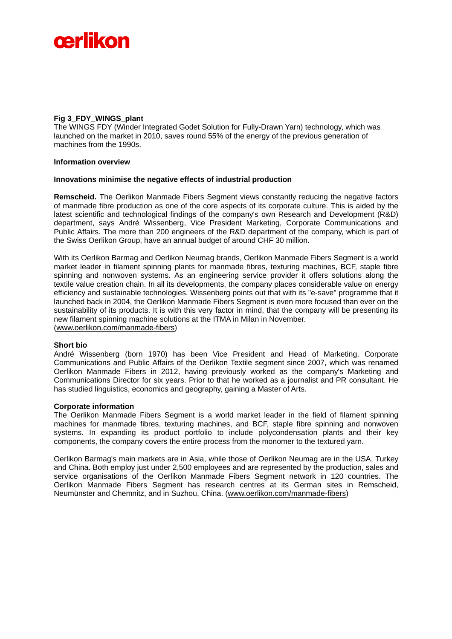

# **Fig 3\_FDY\_WINGS\_plant**

The WINGS FDY (Winder Integrated Godet Solution for Fully-Drawn Yarn) technology, which was launched on the market in 2010, saves round 55% of the energy of the previous generation of machines from the 1990s.

#### **Information overview**

#### **Innovations minimise the negative effects of industrial production**

**Remscheid.** The Oerlikon Manmade Fibers Segment views constantly reducing the negative factors of manmade fibre production as one of the core aspects of its corporate culture. This is aided by the latest scientific and technological findings of the company's own Research and Development (R&D) department, says André Wissenberg, Vice President Marketing, Corporate Communications and Public Affairs. The more than 200 engineers of the R&D department of the company, which is part of the Swiss Oerlikon Group, have an annual budget of around CHF 30 million.

With its Oerlikon Barmag and Oerlikon Neumag brands, Oerlikon Manmade Fibers Segment is a world market leader in filament spinning plants for manmade fibres, texturing machines, BCF, staple fibre spinning and nonwoven systems. As an engineering service provider it offers solutions along the textile value creation chain. In all its developments, the company places considerable value on energy efficiency and sustainable technologies. Wissenberg points out that with its "e-save" programme that it launched back in 2004, the Oerlikon Manmade Fibers Segment is even more focused than ever on the sustainability of its products. It is with this very factor in mind, that the company will be presenting its new filament spinning machine solutions at the ITMA in Milan in November.

(www.oerlikon.com/manmade-fibers)

# **Short bio**

André Wissenberg (born 1970) has been Vice President and Head of Marketing, Corporate Communications and Public Affairs of the Oerlikon Textile segment since 2007, which was renamed Oerlikon Manmade Fibers in 2012, having previously worked as the company's Marketing and Communications Director for six years. Prior to that he worked as a journalist and PR consultant. He has studied linguistics, economics and geography, gaining a Master of Arts.

#### **Corporate information**

The Oerlikon Manmade Fibers Segment is a world market leader in the field of filament spinning machines for manmade fibres, texturing machines, and BCF, staple fibre spinning and nonwoven systems. In expanding its product portfolio to include polycondensation plants and their key components, the company covers the entire process from the monomer to the textured yarn.

Oerlikon Barmag's main markets are in Asia, while those of Oerlikon Neumag are in the USA, Turkey and China. Both employ just under 2,500 employees and are represented by the production, sales and service organisations of the Oerlikon Manmade Fibers Segment network in 120 countries. The Oerlikon Manmade Fibers Segment has research centres at its German sites in Remscheid, Neumünster and Chemnitz, and in Suzhou, China. (www.oerlikon.com/manmade-fibers)